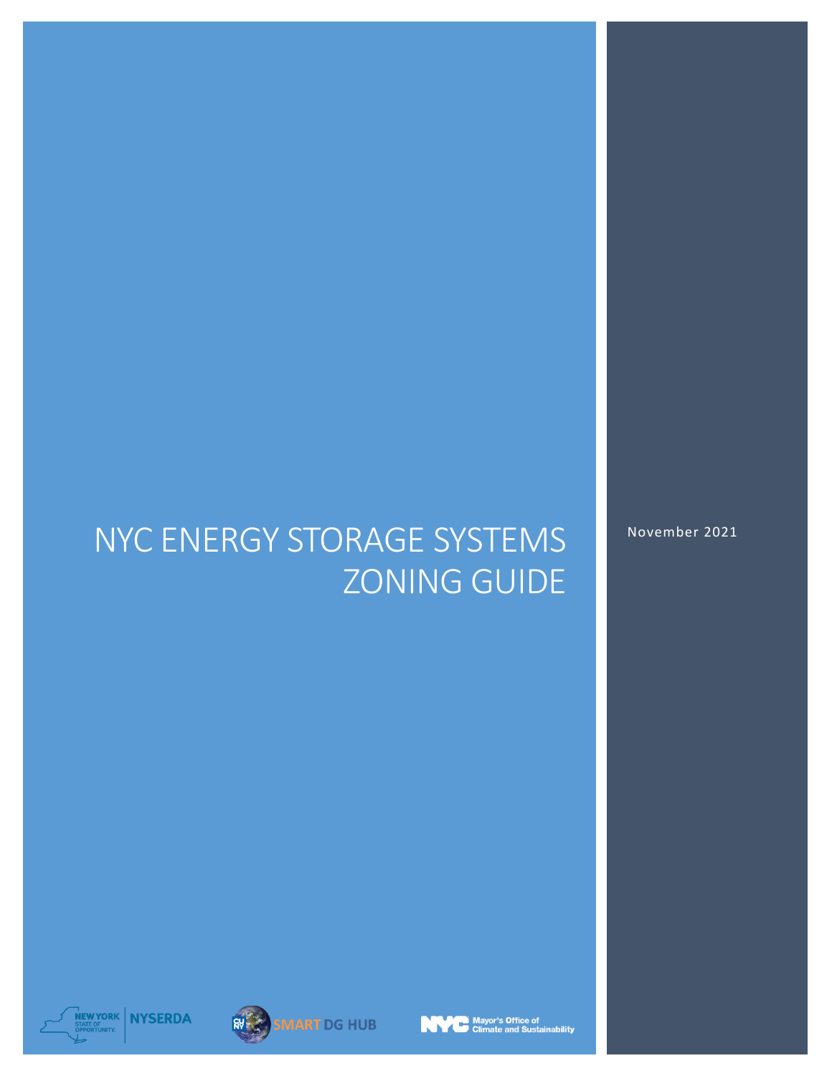# NYC ENERGY STORAGE SYSTEMS ZONING GUIDE

November 2021









.<br>| Mayor's Office of<br>| Climate and Sustainability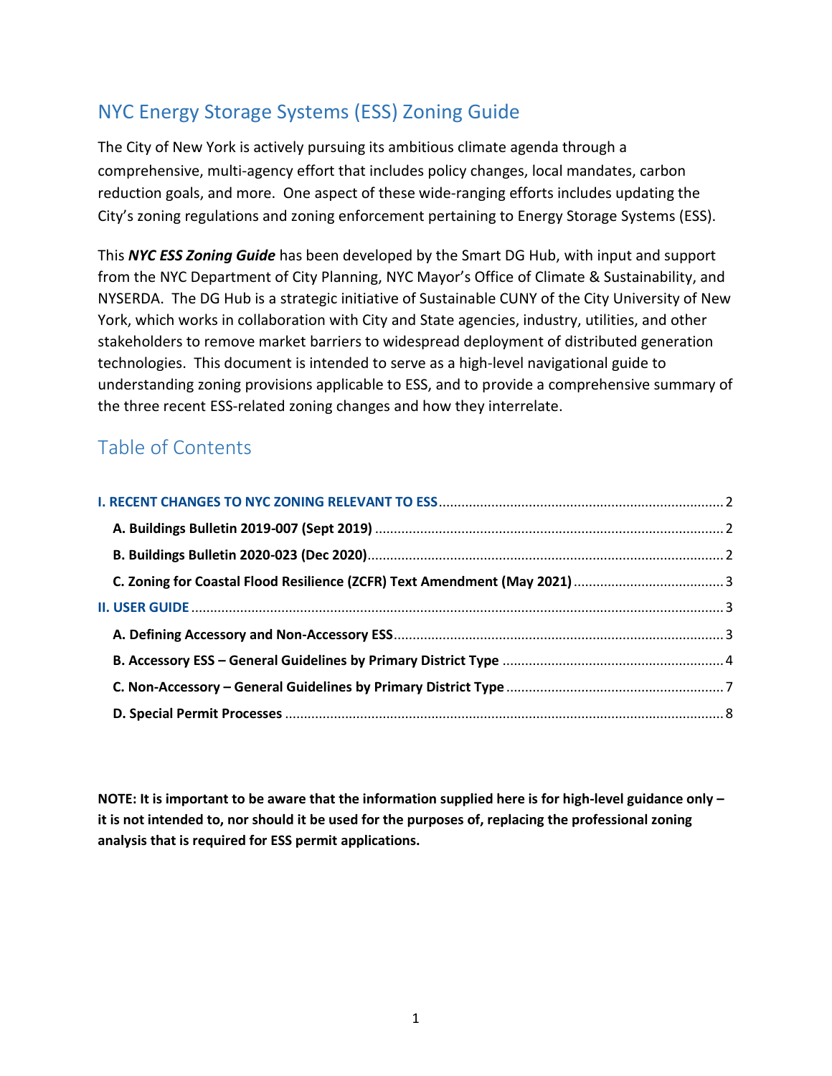## NYC Energy Storage Systems (ESS) Zoning Guide

The City of New York is actively pursuing its ambitious climate agenda through a comprehensive, multi-agency effort that includes policy changes, local mandates, carbon reduction goals, and more. One aspect of these wide-ranging efforts includes updating the City's zoning regulations and zoning enforcement pertaining to Energy Storage Systems (ESS).

This *NYC ESS Zoning Guide* has been developed by the Smart DG Hub, with input and support from the NYC Department of City Planning, NYC Mayor's Office of Climate & Sustainability, and NYSERDA. The DG Hub is a strategic initiative of Sustainable CUNY of the City University of New York, which works in collaboration with City and State agencies, industry, utilities, and other stakeholders to remove market barriers to widespread deployment of distributed generation technologies. This document is intended to serve as a high-level navigational guide to understanding zoning provisions applicable to ESS, and to provide a comprehensive summary of the three recent ESS-related zoning changes and how they interrelate.

## Table of Contents

**NOTE: It is important to be aware that the information supplied here is for high-level guidance only – it is not intended to, nor should it be used for the purposes of, replacing the professional zoning analysis that is required for ESS permit applications.**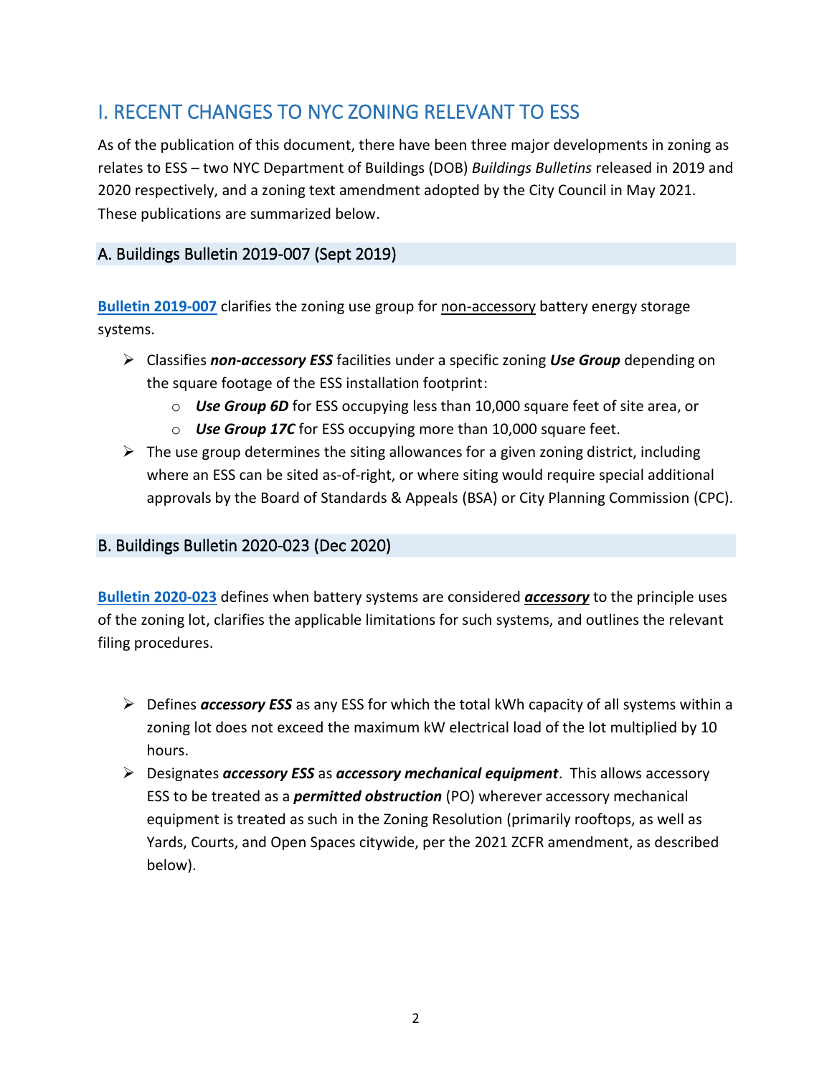## <span id="page-2-0"></span>I. RECENT CHANGES TO NYC ZONING RELEVANT TO ESS

As of the publication of this document, there have been three major developments in zoning as relates to ESS – two NYC Department of Buildings (DOB) *Buildings Bulletins* released in 2019 and 2020 respectively, and a zoning text amendment adopted by the City Council in May 2021. These publications are summarized below.

### <span id="page-2-1"></span>A. Buildings Bulletin 2019-007 (Sept 2019)

**[Bulletin 2019-007](https://www1.nyc.gov/assets/buildings/bldgs_bulletins/bb_2019-007.pdf)** clarifies the zoning use group for non-accessory battery energy storage systems.

- ➢ Classifies *non-accessory ESS* facilities under a specific zoning *Use Group* depending on the square footage of the ESS installation footprint:
	- o *Use Group 6D* for ESS occupying less than 10,000 square feet of site area, or
	- o *Use Group 17C* for ESS occupying more than 10,000 square feet.
- $\triangleright$  The use group determines the siting allowances for a given zoning district, including where an ESS can be sited as-of-right, or where siting would require special additional approvals by the Board of Standards & Appeals (BSA) or City Planning Commission (CPC).

#### <span id="page-2-2"></span>B. [Buildings Bulletin 2020-023](https://www1.nyc.gov/assets/buildings/bldgs_bulletins/bb_2020-023.pdf) (Dec 2020)

**[Bulletin 2020-023](https://www1.nyc.gov/assets/buildings/bldgs_bulletins/bb_2020-023.pdf)** defines when battery systems are considered *accessory* to the principle uses of the zoning lot, clarifies the applicable limitations for such systems, and outlines the relevant filing procedures.

- ➢ Defines *accessory ESS* as any ESS for which the total kWh capacity of all systems within a zoning lot does not exceed the maximum kW electrical load of the lot multiplied by 10 hours.
- ➢ Designates *accessory ESS* as *accessory mechanical equipment*. This allows accessory ESS to be treated as a *permitted obstruction* (PO) wherever accessory mechanical equipment is treated as such in the Zoning Resolution (primarily rooftops, as well as Yards, Courts, and Open Spaces citywide, per the 2021 ZCFR amendment, as described below).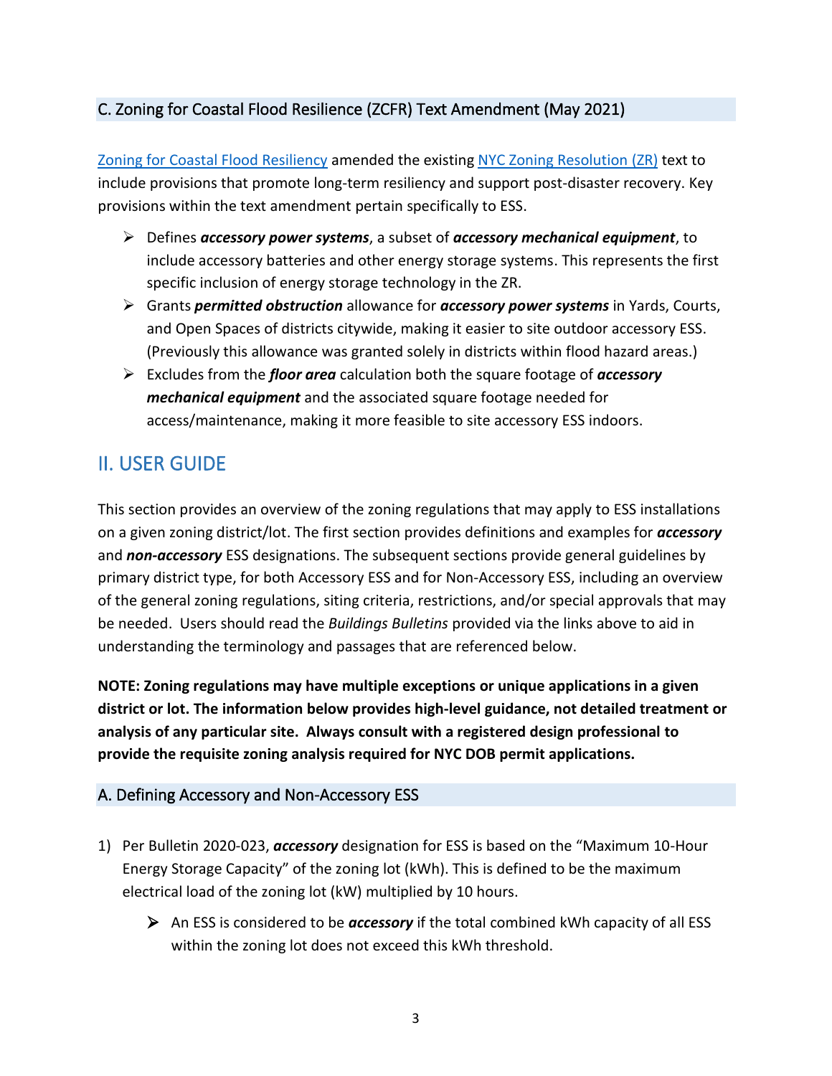### <span id="page-3-0"></span>C. [Zoning for Coastal Flood Resilience \(ZCFR\)](https://www1.nyc.gov/assets/planning/download/pdf/plans-studies/flood-resiliency-update/adopted-text-0521.pdf) Text Amendment (May 2021)

[Zoning for Coastal Flood Resiliency](https://www1.nyc.gov/assets/planning/download/pdf/plans-studies/flood-resiliency-update/adopted-text-0521.pdf) amended the existing [NYC Zoning Resolution \(ZR\)](https://zr.planning.nyc.gov/) text to include provisions that promote long-term resiliency and support post-disaster recovery. Key provisions within the text amendment pertain specifically to ESS.

- ➢ Defines *accessory power systems*, a subset of *accessory mechanical equipment*, to include accessory batteries and other energy storage systems. This represents the first specific inclusion of energy storage technology in the ZR.
- ➢ Grants *permitted obstruction* allowance for *accessory power systems* in Yards, Courts, and Open Spaces of districts citywide, making it easier to site outdoor accessory ESS. (Previously this allowance was granted solely in districts within flood hazard areas.)
- ➢ Excludes from the *floor area* calculation both the square footage of *accessory mechanical equipment* and the associated square footage needed for access/maintenance, making it more feasible to site accessory ESS indoors.

## <span id="page-3-1"></span>II. USER GUIDE

This section provides an overview of the zoning regulations that may apply to ESS installations on a given zoning district/lot. The first section provides definitions and examples for *accessory* and *non-accessory* ESS designations. The subsequent sections provide general guidelines by primary district type, for both Accessory ESS and for Non-Accessory ESS, including an overview of the general zoning regulations, siting criteria, restrictions, and/or special approvals that may be needed. Users should read the *Buildings Bulletins* provided via the links above to aid in understanding the terminology and passages that are referenced below.

**NOTE: Zoning regulations may have multiple exceptions or unique applications in a given district or lot. The information below provides high-level guidance, not detailed treatment or analysis of any particular site. Always consult with a registered design professional to provide the requisite zoning analysis required for NYC DOB permit applications.**

#### <span id="page-3-2"></span>A. Defining Accessory and Non-Accessory ESS

- 1) Per Bulletin 2020-023, *accessory* designation for ESS is based on the "Maximum 10-Hour Energy Storage Capacity" of the zoning lot (kWh). This is defined to be the maximum electrical load of the zoning lot (kW) multiplied by 10 hours.
	- ➢ An ESS is considered to be *accessory* if the total combined kWh capacity of all ESS within the zoning lot does not exceed this kWh threshold.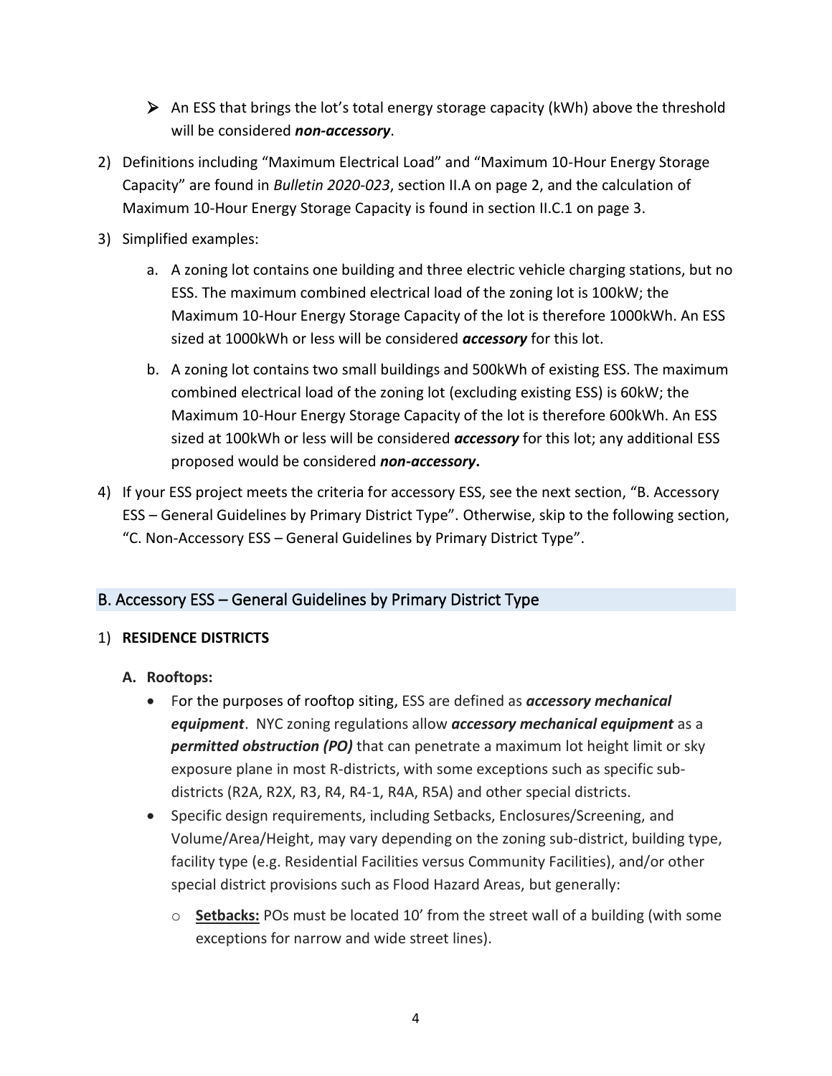- ➢ An ESS that brings the lot's total energy storage capacity (kWh) above the threshold will be considered *non-accessory*.
- 2) Definitions including "Maximum Electrical Load" and "Maximum 10-Hour Energy Storage Capacity" are found in *Bulletin 2020-023*, section II.A on page 2, and the calculation of Maximum 10-Hour Energy Storage Capacity is found in section II.C.1 on page 3.
- 3) Simplified examples:
	- a. A zoning lot contains one building and three electric vehicle charging stations, but no ESS. The maximum combined electrical load of the zoning lot is 100kW; the Maximum 10-Hour Energy Storage Capacity of the lot is therefore 1000kWh. An ESS sized at 1000kWh or less will be considered *accessory* for this lot.
	- b. A zoning lot contains two small buildings and 500kWh of existing ESS. The maximum combined electrical load of the zoning lot (excluding existing ESS) is 60kW; the Maximum 10-Hour Energy Storage Capacity of the lot is therefore 600kWh. An ESS sized at 100kWh or less will be considered *accessory* for this lot; any additional ESS proposed would be considered *non-accessory***.**
- 4) If your ESS project meets the criteria for accessory ESS, see the next section, "B. Accessory ESS – General Guidelines by Primary District Type". Otherwise, skip to the following section, "C. Non-Accessory ESS – General Guidelines by Primary District Type".

#### <span id="page-4-0"></span>B. Accessory ESS – General Guidelines by Primary District Type

#### 1) **RESIDENCE DISTRICTS**

#### **A. Rooftops:**

- For the purposes of rooftop siting, ESS are defined as *accessory mechanical equipment*. NYC zoning regulations allow *accessory mechanical equipment* as a *permitted obstruction (PO)* that can penetrate a maximum lot height limit or sky exposure plane in most R-districts, with some exceptions such as specific subdistricts (R2A, R2X, R3, R4, R4-1, R4A, R5A) and other special districts.
- Specific design requirements, including Setbacks, Enclosures/Screening, and Volume/Area/Height, may vary depending on the zoning sub-district, building type, facility type (e.g. Residential Facilities versus Community Facilities), and/or other special district provisions such as Flood Hazard Areas, but generally:
	- o **Setbacks:** POs must be located 10' from the street wall of a building (with some exceptions for narrow and wide street lines).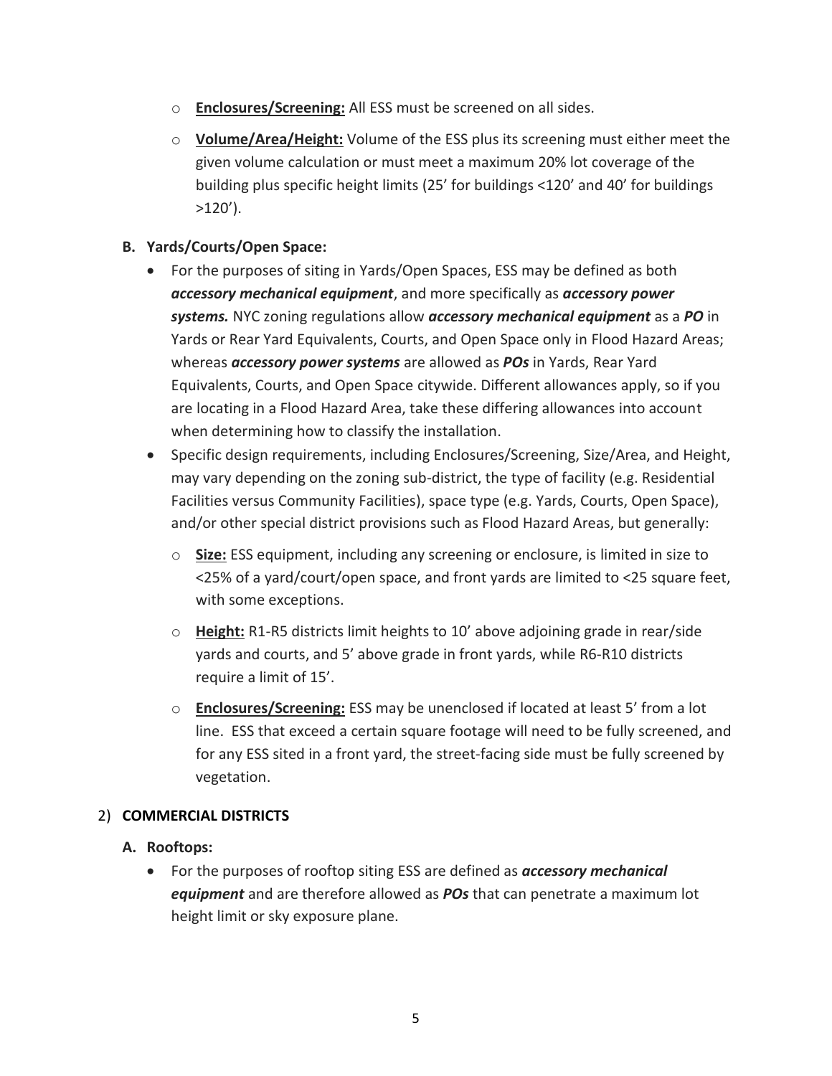- o **Enclosures/Screening:** All ESS must be screened on all sides.
- o **Volume/Area/Height:** Volume of the ESS plus its screening must either meet the given volume calculation or must meet a maximum 20% lot coverage of the building plus specific height limits (25' for buildings <120' and 40' for buildings  $>120'$ ).

#### **B. Yards/Courts/Open Space:**

- For the purposes of siting in Yards/Open Spaces, ESS may be defined as both *accessory mechanical equipment*, and more specifically as *accessory power systems.* NYC zoning regulations allow *accessory mechanical equipment* as a *PO* in Yards or Rear Yard Equivalents, Courts, and Open Space only in Flood Hazard Areas; whereas *accessory power systems* are allowed as *POs* in Yards, Rear Yard Equivalents, Courts, and Open Space citywide. Different allowances apply, so if you are locating in a Flood Hazard Area, take these differing allowances into account when determining how to classify the installation.
- Specific design requirements, including Enclosures/Screening, Size/Area, and Height, may vary depending on the zoning sub-district, the type of facility (e.g. Residential Facilities versus Community Facilities), space type (e.g. Yards, Courts, Open Space), and/or other special district provisions such as Flood Hazard Areas, but generally:
	- o **Size:** ESS equipment, including any screening or enclosure, is limited in size to <25% of a yard/court/open space, and front yards are limited to <25 square feet, with some exceptions.
	- o **Height:** R1-R5 districts limit heights to 10' above adjoining grade in rear/side yards and courts, and 5' above grade in front yards, while R6-R10 districts require a limit of 15'.
	- o **Enclosures/Screening:** ESS may be unenclosed if located at least 5' from a lot line. ESS that exceed a certain square footage will need to be fully screened, and for any ESS sited in a front yard, the street-facing side must be fully screened by vegetation.

#### 2) **COMMERCIAL DISTRICTS**

#### **A. Rooftops:**

• For the purposes of rooftop siting ESS are defined as *accessory mechanical equipment* and are therefore allowed as *POs* that can penetrate a maximum lot height limit or sky exposure plane.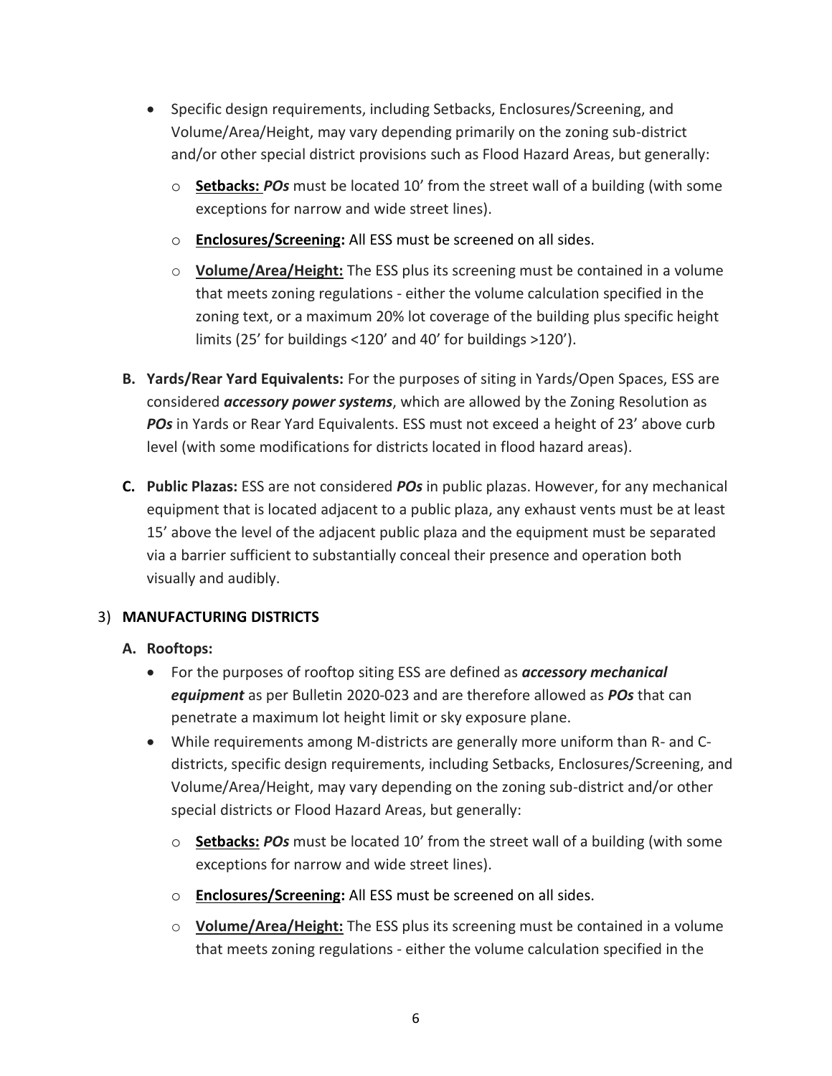- Specific design requirements, including Setbacks, Enclosures/Screening, and Volume/Area/Height, may vary depending primarily on the zoning sub-district and/or other special district provisions such as Flood Hazard Areas, but generally:
	- o **Setbacks:** *POs* must be located 10' from the street wall of a building (with some exceptions for narrow and wide street lines).
	- o **Enclosures/Screening:** All ESS must be screened on all sides.
	- o **Volume/Area/Height:** The ESS plus its screening must be contained in a volume that meets zoning regulations - either the volume calculation specified in the zoning text, or a maximum 20% lot coverage of the building plus specific height limits (25' for buildings <120' and 40' for buildings >120').
- **B. Yards/Rear Yard Equivalents:** For the purposes of siting in Yards/Open Spaces, ESS are considered *accessory power systems*, which are allowed by the Zoning Resolution as *POs* in Yards or Rear Yard Equivalents. ESS must not exceed a height of 23' above curb level (with some modifications for districts located in flood hazard areas).
- **C. Public Plazas:** ESS are not considered *POs* in public plazas. However, for any mechanical equipment that is located adjacent to a public plaza, any exhaust vents must be at least 15' above the level of the adjacent public plaza and the equipment must be separated via a barrier sufficient to substantially conceal their presence and operation both visually and audibly.

#### 3) **MANUFACTURING DISTRICTS**

#### **A. Rooftops:**

- For the purposes of rooftop siting ESS are defined as *accessory mechanical equipment* as per Bulletin 2020-023 and are therefore allowed as *POs* that can penetrate a maximum lot height limit or sky exposure plane.
- While requirements among M-districts are generally more uniform than R- and Cdistricts, specific design requirements, including Setbacks, Enclosures/Screening, and Volume/Area/Height, may vary depending on the zoning sub-district and/or other special districts or Flood Hazard Areas, but generally:
	- o **Setbacks:** *POs* must be located 10' from the street wall of a building (with some exceptions for narrow and wide street lines).
	- o **Enclosures/Screening:** All ESS must be screened on all sides.
	- o **Volume/Area/Height:** The ESS plus its screening must be contained in a volume that meets zoning regulations - either the volume calculation specified in the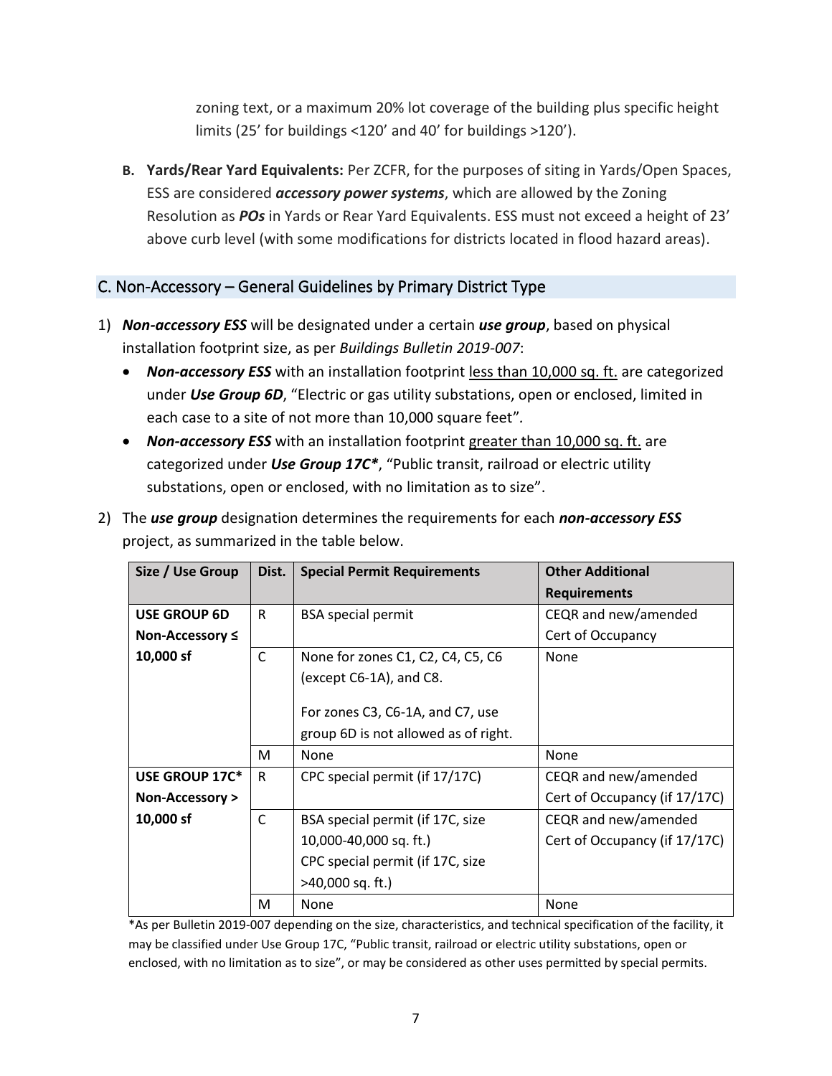zoning text, or a maximum 20% lot coverage of the building plus specific height limits (25' for buildings <120' and 40' for buildings >120').

**B. Yards/Rear Yard Equivalents:** Per ZCFR, for the purposes of siting in Yards/Open Spaces, ESS are considered *accessory power systems*, which are allowed by the Zoning Resolution as *POs* in Yards or Rear Yard Equivalents. ESS must not exceed a height of 23' above curb level (with some modifications for districts located in flood hazard areas).

#### <span id="page-7-0"></span>C. Non-Accessory – General Guidelines by Primary District Type

- 1) *Non-accessory ESS* will be designated under a certain *use group*, based on physical installation footprint size, as per *Buildings Bulletin 2019-007*:
	- *Non-accessory ESS* with an installation footprint less than 10,000 sq. ft. are categorized under *Use Group 6D*, "Electric or gas utility substations, open or enclosed, limited in each case to a site of not more than 10,000 square feet"*.*
	- *Non-accessory ESS* with an installation footprint greater than 10,000 sq. ft. are categorized under *Use Group 17C\**, "Public transit, railroad or electric utility substations, open or enclosed, with no limitation as to size".
- 2) The *use group* designation determines the requirements for each *non-accessory ESS* project, as summarized in the table below.

| Size / Use Group    | Dist.        | <b>Special Permit Requirements</b>   | <b>Other Additional</b>       |
|---------------------|--------------|--------------------------------------|-------------------------------|
|                     |              |                                      | <b>Requirements</b>           |
| <b>USE GROUP 6D</b> | R            | <b>BSA</b> special permit            | CEQR and new/amended          |
| Non-Accessory ≤     |              |                                      | Cert of Occupancy             |
| 10,000 sf           | C            | None for zones C1, C2, C4, C5, C6    | None                          |
|                     |              | (except C6-1A), and C8.              |                               |
|                     |              |                                      |                               |
|                     |              | For zones C3, C6-1A, and C7, use     |                               |
|                     |              | group 6D is not allowed as of right. |                               |
|                     | м            | None                                 | None                          |
| USE GROUP 17C*      | R            | CPC special permit (if 17/17C)       | CEQR and new/amended          |
| Non-Accessory >     |              |                                      | Cert of Occupancy (if 17/17C) |
| 10,000 sf           | $\mathsf{C}$ | BSA special permit (if 17C, size     | CEQR and new/amended          |
|                     |              | 10,000-40,000 sq. ft.)               | Cert of Occupancy (if 17/17C) |
|                     |              | CPC special permit (if 17C, size     |                               |
|                     |              | >40,000 sq. ft.)                     |                               |
|                     | м            | None                                 | None                          |

\*As per Bulletin 2019-007 depending on the size, characteristics, and technical specification of the facility, it may be classified under Use Group 17C, "Public transit, railroad or electric utility substations, open or enclosed, with no limitation as to size", or may be considered as other uses permitted by special permits.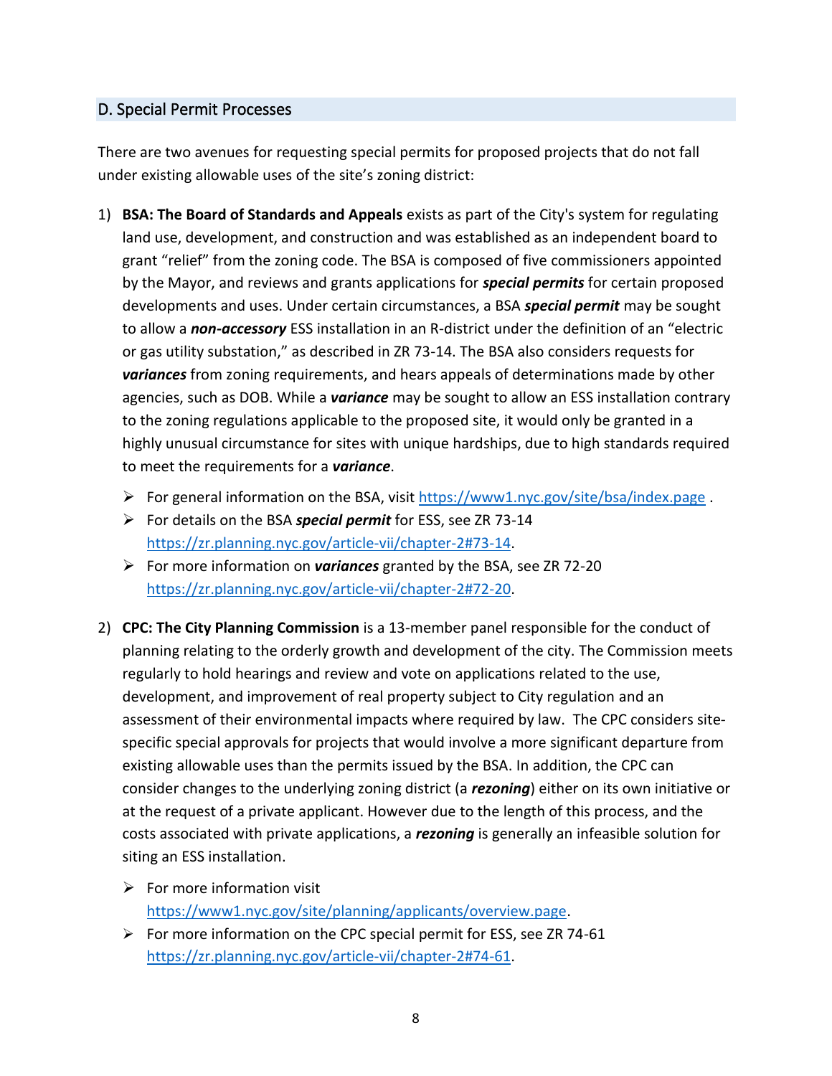#### <span id="page-8-0"></span>D. Special Permit Processes

There are two avenues for requesting special permits for proposed projects that do not fall under existing allowable uses of the site's zoning district:

- 1) **BSA: The Board of Standards and Appeals** exists as part of the City's system for regulating land use, development, and construction and was established as an independent board to grant "relief" from the zoning code. The BSA is composed of five commissioners appointed by the Mayor, and reviews and grants applications for *special permits* for certain proposed developments and uses. Under certain circumstances, a BSA *special permit* may be sought to allow a *non-accessory* ESS installation in an R-district under the definition of an "electric or gas utility substation," as described in ZR 73-14. The BSA also considers requests for *variances* from zoning requirements, and hears appeals of determinations made by other agencies, such as DOB. While a *variance* may be sought to allow an ESS installation contrary to the zoning regulations applicable to the proposed site, it would only be granted in a highly unusual circumstance for sites with unique hardships, due to high standards required to meet the requirements for a *variance*.
	- ➢ For general information on the BSA, visit<https://www1.nyc.gov/site/bsa/index.page> .
	- ➢ For details on the BSA *special permit* for ESS, see ZR 73-14 [https://zr.planning.nyc.gov/article-vii/chapter-2#73-14.](https://zr.planning.nyc.gov/article-vii/chapter-2#73-14)
	- ➢ For more information on *variances* granted by the BSA, see ZR 72-20 [https://zr.planning.nyc.gov/article-vii/chapter-2#72-20.](https://zr.planning.nyc.gov/article-vii/chapter-2#72-20)
- 2) **CPC: The City Planning Commission** is a 13-member panel responsible for the conduct of planning relating to the orderly growth and development of the city. The Commission meets regularly to hold hearings and review and vote on applications related to the use, development, and improvement of real property subject to City regulation and an assessment of their environmental impacts where required by law. The CPC considers sitespecific special approvals for projects that would involve a more significant departure from existing allowable uses than the permits issued by the BSA. In addition, the CPC can consider changes to the underlying zoning district (a *rezoning*) either on its own initiative or at the request of a private applicant. However due to the length of this process, and the costs associated with private applications, a *rezoning* is generally an infeasible solution for siting an ESS installation.
	- $\triangleright$  For more information visit [https://www1.nyc.gov/site/planning/applicants/overview.page.](https://www1.nyc.gov/site/planning/applicants/overview.page)
	- ➢ For more information on the CPC special permit for ESS, see ZR 74-61 [https://zr.planning.nyc.gov/article-vii/chapter-2#74-61.](https://zr.planning.nyc.gov/article-vii/chapter-2#74-61)